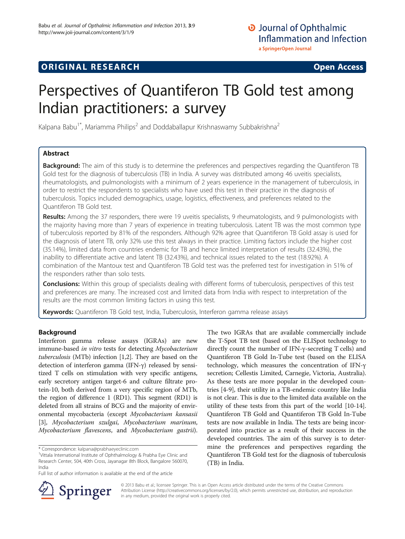## **ORIGINAL RESEARCH CONSUMING ACCESS**

# Perspectives of Quantiferon TB Gold test among Indian practitioners: a survey

Kalpana Babu<sup>1\*</sup>, Mariamma Philips<sup>2</sup> and Doddaballapur Krishnaswamy Subbakrishna<sup>2</sup>

## Abstract

Background: The aim of this study is to determine the preferences and perspectives regarding the Quantiferon TB Gold test for the diagnosis of tuberculosis (TB) in India. A survey was distributed among 46 uveitis specialists, rheumatologists, and pulmonologists with a minimum of 2 years experience in the management of tuberculosis, in order to restrict the respondents to specialists who have used this test in their practice in the diagnosis of tuberculosis. Topics included demographics, usage, logistics, effectiveness, and preferences related to the Quantiferon TB Gold test.

Results: Among the 37 responders, there were 19 uveitis specialists, 9 rheumatologists, and 9 pulmonologists with the majority having more than 7 years of experience in treating tuberculosis. Latent TB was the most common type of tuberculosis reported by 81% of the responders. Although 92% agree that Quantiferon TB Gold assay is used for the diagnosis of latent TB, only 32% use this test always in their practice. Limiting factors include the higher cost (35.14%), limited data from countries endemic for TB and hence limited interpretation of results (32.43%), the inability to differentiate active and latent TB (32.43%), and technical issues related to the test (18.92%). A combination of the Mantoux test and Quantiferon TB Gold test was the preferred test for investigation in 51% of the responders rather than solo tests.

**Conclusions:** Within this group of specialists dealing with different forms of tuberculosis, perspectives of this test and preferences are many. The increased cost and limited data from India with respect to interpretation of the results are the most common limiting factors in using this test.

Keywords: Quantiferon TB Gold test, India, Tuberculosis, Interferon gamma release assays

## Background

Interferon gamma release assays (IGRAs) are new immune-based in vitro tests for detecting Mycobacterium tuberculosis (MTb) infection [[1,2](#page-4-0)]. They are based on the detection of interferon gamma (IFN-γ) released by sensitized T cells on stimulation with very specific antigens, early secretory antigen target-6 and culture filtrate protein-10, both derived from a very specific region of MTb, the region of difference 1 (RD1). This segment (RD1) is deleted from all strains of BCG and the majority of environmental mycobacteria (except Mycobacterium kansasii [[3\]](#page-4-0), Mycobacterium szulgai, Mycobacterium marinum, Mycobacterium flavescens, and Mycobacterium gastrii).

The two IGRAs that are available commercially include the T-Spot TB test (based on the ELISpot technology to directly count the number of IFN-γ-secreting T cells) and Quantiferon TB Gold In-Tube test (based on the ELISA technology, which measures the concentration of IFN-γ secretion; Cellestis Limited, Carnegie, Victoria, Australia). As these tests are more popular in the developed countries [\[4-9](#page-4-0)], their utility in a TB-endemic country like India is not clear. This is due to the limited data available on the utility of these tests from this part of the world [[10](#page-4-0)-[14](#page-4-0)]. Quantiferon TB Gold and Quantiferon TB Gold In-Tube tests are now available in India. The tests are being incorporated into practice as a result of their success in the developed countries. The aim of this survey is to determine the preferences and perspectives regarding the Quantiferon TB Gold test for the diagnosis of tuberculosis (TB) in India.



© 2013 Babu et al.; licensee Springer. This is an Open Access article distributed under the terms of the Creative Commons Attribution License [\(http://creativecommons.org/licenses/by/2.0\)](http://creativecommons.org/licenses/by/2.0), which permits unrestricted use, distribution, and reproduction in any medium, provided the original work is properly cited.

<sup>\*</sup> Correspondence: [kalpana@prabhaeyeclinic.com](mailto:kalpana@prabhaeyeclinic.com) <sup>1</sup>

Vittala International Institute of Ophthalmology & Prabha Eye Clinic and Research Center, 504, 40th Cross, Jayanagar 8th Block, Bangalore 560070, India

Full list of author information is available at the end of the article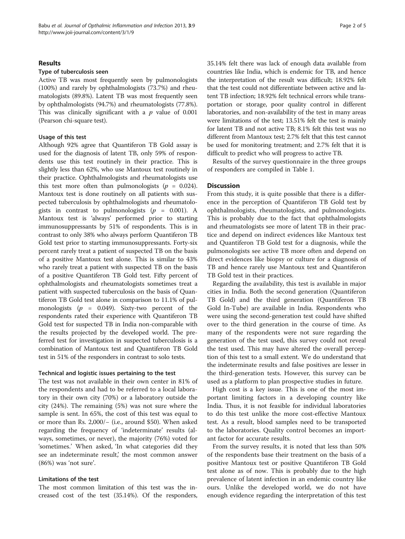#### Results

#### Type of tuberculosis seen

Active TB was most frequently seen by pulmonologists (100%) and rarely by ophthalmologists (73.7%) and rheumatologists (89.8%). Latent TB was most frequently seen by ophthalmologists (94.7%) and rheumatologists (77.8%). This was clinically significant with a  $p$  value of 0.001 (Pearson chi-square test).

## Usage of this test

Although 92% agree that Quantiferon TB Gold assay is used for the diagnosis of latent TB, only 59% of respondents use this test routinely in their practice. This is slightly less than 62%, who use Mantoux test routinely in their practice. Ophthalmologists and rheumatologists use this test more often than pulmonologists ( $p = 0.024$ ). Mantoux test is done routinely on all patients with suspected tuberculosis by ophthalmologists and rheumatologists in contrast to pulmonologists ( $p = 0.001$ ). A Mantoux test is 'always' performed prior to starting immunosuppressants by 51% of respondents. This is in contrast to only 38% who always perform Quantiferon TB Gold test prior to starting immunosuppressants. Forty-six percent rarely treat a patient of suspected TB on the basis of a positive Mantoux test alone. This is similar to 43% who rarely treat a patient with suspected TB on the basis of a positive Quantiferon TB Gold test. Fifty percent of ophthalmologists and rheumatologists sometimes treat a patient with suspected tuberculosis on the basis of Quantiferon TB Gold test alone in comparison to 11.1% of pulmonologists ( $p = 0.049$ ). Sixty-two percent of the respondents rated their experience with Quantiferon TB Gold test for suspected TB in India non-comparable with the results projected by the developed world. The preferred test for investigation in suspected tuberculosis is a combination of Mantoux test and Quantiferon TB Gold test in 51% of the responders in contrast to solo tests.

#### Technical and logistic issues pertaining to the test

The test was not available in their own center in 81% of the respondents and had to be referred to a local laboratory in their own city (70%) or a laboratory outside the city (24%). The remaining (5%) was not sure where the sample is sent. In 65%, the cost of this test was equal to or more than Rs. 2,000/− (i.e., around \$50). When asked regarding the frequency of 'indeterminate' results (always, sometimes, or never), the majority (76%) voted for 'sometimes.' When asked, 'In what categories did they see an indeterminate result,' the most common answer (86%) was 'not sure'.

#### Limitations of the test

The most common limitation of this test was the increased cost of the test (35.14%). Of the responders, 35.14% felt there was lack of enough data available from countries like India, which is endemic for TB, and hence the interpretation of the result was difficult; 18.92% felt that the test could not differentiate between active and latent TB infection; 18.92% felt technical errors while transportation or storage, poor quality control in different laboratories, and non-availability of the test in many areas were limitations of the test; 13.51% felt the test is mainly for latent TB and not active TB; 8.1% felt this test was no different from Mantoux test; 2.7% felt that this test cannot be used for monitoring treatment; and 2.7% felt that it is difficult to predict who will progress to active TB.

Results of the survey questionnaire in the three groups of responders are compiled in Table [1](#page-2-0).

#### **Discussion**

From this study, it is quite possible that there is a difference in the perception of Quantiferon TB Gold test by ophthalmologists, rheumatologists, and pulmonologists. This is probably due to the fact that ophthalmologists and rheumatologists see more of latent TB in their practice and depend on indirect evidences like Mantoux test and Quantiferon TB Gold test for a diagnosis, while the pulmonologists see active TB more often and depend on direct evidences like biopsy or culture for a diagnosis of TB and hence rarely use Mantoux test and Quantiferon TB Gold test in their practices.

Regarding the availability, this test is available in major cities in India. Both the second generation (Quantiferon TB Gold) and the third generation (Quantiferon TB Gold In-Tube) are available in India. Respondents who were using the second-generation test could have shifted over to the third generation in the course of time. As many of the respondents were not sure regarding the generation of the test used, this survey could not reveal the test used. This may have altered the overall perception of this test to a small extent. We do understand that the indeterminate results and false positives are lesser in the third-generation tests. However, this survey can be used as a platform to plan prospective studies in future.

High cost is a key issue. This is one of the most important limiting factors in a developing country like India. Thus, it is not feasible for individual laboratories to do this test unlike the more cost-effective Mantoux test. As a result, blood samples need to be transported to the laboratories. Quality control becomes an important factor for accurate results.

From the survey results, it is noted that less than 50% of the respondents base their treatment on the basis of a positive Mantoux test or positive Quantiferon TB Gold test alone as of now. This is probably due to the high prevalence of latent infection in an endemic country like ours. Unlike the developed world, we do not have enough evidence regarding the interpretation of this test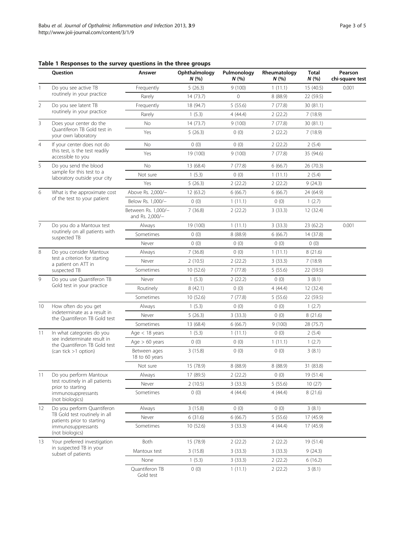<span id="page-2-0"></span>Table 1 Responses to the survey questions in the three groups

|                 | Question                                                                                                               | Answer                                 | Ophthalmology<br>N(% | Pulmonology<br>N(% | Rheumatology<br>N(%) | <b>Total</b><br>N(% | Pearson<br>chi-square test |
|-----------------|------------------------------------------------------------------------------------------------------------------------|----------------------------------------|----------------------|--------------------|----------------------|---------------------|----------------------------|
| $\mathbf{1}$    | Do you see active TB                                                                                                   | Frequently                             | 5(26.3)              | 9(100)             | 1(11.1)              | 15 (40.5)           | 0.001                      |
|                 | routinely in your practice                                                                                             | Rarely                                 | 14 (73.7)            | $\Omega$           | 8 (88.9)             | 22 (59.5)           |                            |
| $\overline{2}$  | Do you see latent TB                                                                                                   | Frequently                             | 18 (94.7)            | 5(55.6)            | 7(77.8)              | 30 (81.1)           |                            |
|                 | routinely in your practice                                                                                             | Rarely                                 | 1(5.3)               | 4(44.4)            | 2(22.2)              | 7(18.9)             |                            |
| 3               | Does your center do the<br>Quantiferon TB Gold test in<br>your own laboratory                                          | <b>No</b>                              | 14(73.7)             | 9(100)             | 7(77.8)              | 30 (81.1)           |                            |
|                 |                                                                                                                        | Yes                                    | 5(26.3)              | 0(0)               | 2(22.2)              | 7(18.9)             |                            |
| $\overline{4}$  | If your center does not do<br>this test, is the test readily<br>accessible to you                                      | <b>No</b>                              | 0(0)                 | 0(0)               | 2(22.2)              | 2(5.4)              |                            |
|                 |                                                                                                                        | Yes                                    | 19 (100)             | 9(100)             | 7(77.8)              | 35 (94.6)           |                            |
| 5               | Do you send the blood<br>sample for this test to a<br>laboratory outside your city                                     | No                                     | 13 (68.4)            | 7(77.8)            | 6(66.7)              | 26 (70.3)           |                            |
|                 |                                                                                                                        | Not sure                               | 1(5.3)               | 0(0)               | 1(11.1)              | 2(5.4)              |                            |
|                 |                                                                                                                        | Yes                                    | 5(26.3)              | 2(22.2)            | 2(22.2)              | 9(24.3)             |                            |
| 6               | What is the approximate cost<br>of the test to your patient                                                            | Above Rs. 2,000/-                      | 12 (63.2)            | 6(66.7)            | 6(66.7)              | 24 (64.9)           |                            |
|                 |                                                                                                                        | Below Rs. 1,000/-                      | 0(0)                 | 1(11.1)            | 0(0)                 | 1(2.7)              |                            |
|                 |                                                                                                                        | Between Rs. 1,000/-<br>and Rs. 2,000/- | 7(36.8)              | 2(22.2)            | 3(33.3)              | 12 (32.4)           |                            |
| $7\overline{ }$ | Do you do a Mantoux test<br>routinely on all patients with<br>suspected TB                                             | Always                                 | 19 (100)             | 1(11.1)            | 3(33.3)              | 23 (62.2)           | 0.001                      |
|                 |                                                                                                                        | Sometimes                              | 0(0)                 | 8 (88.9)           | 6(66.7)              | 14 (37.8)           |                            |
|                 |                                                                                                                        | Never                                  | 0(0)                 | 0(0)               | 0(0)                 | 0(0)                |                            |
| 8               | Do you consider Mantoux<br>test a criterion for starting<br>a patient on ATT in<br>suspected TB                        | Always                                 | 7(36.8)              | 0(0)               | 1(11.1)              | 8(21.6)             |                            |
|                 |                                                                                                                        | Never                                  | 2(10.5)              | 2(22.2)            | 3(33.3)              | 7(18.9)             |                            |
|                 |                                                                                                                        | Sometimes                              | 10(52.6)             | 7(77.8)            | 5(55.6)              | 22 (59.5)           |                            |
| 9               | Do you use Quantiferon TB<br>Gold test in your practice                                                                | Never                                  | 1(5.3)               | 2(22.2)            | 0(0)                 | 3(8.1)              |                            |
|                 |                                                                                                                        | Routinely                              | 8(42.1)              | 0(0)               | 4(44.4)              | 12 (32.4)           |                            |
|                 |                                                                                                                        | Sometimes                              | 10(52.6)             | 7(77.8)            | 5(55.6)              | 22 (59.5)           |                            |
| 10              | How often do you get<br>indeterminate as a result in<br>the Quantiferon TB Gold test                                   | Always                                 | 1(5.3)               | 0(0)               | 0(0)                 | 1(2.7)              |                            |
|                 |                                                                                                                        | Never                                  | 5(26.3)              | 3(33.3)            | 0(0)                 | 8 (21.6)            |                            |
|                 |                                                                                                                        | Sometimes                              | 13 (68.4)            | 6(66.7)            | 9(100)               | 28 (75.7)           |                            |
| 11              | In what categories do you<br>see indeterminate result in<br>the Quantiferon TB Gold test<br>(can tick >1 option)       | Age $<$ 18 years                       | 1(5.3)               | 1(11.1)            | 0(0)                 | 2(5.4)              |                            |
|                 |                                                                                                                        | Age $> 60$ years                       | 0(0)                 | 0(0)               | 1(11.1)              | 1(2.7)              |                            |
|                 |                                                                                                                        | Between ages<br>18 to 60 years         | 3(15.8)              | 0(0)               | 0(0)                 | 3(8.1)              |                            |
|                 |                                                                                                                        | Not sure                               | 15 (78.9)            | 8 (88.9)           | 8 (88.9)             | 31 (83.8)           |                            |
| 11              | Do you perform Mantoux<br>test routinely in all patients<br>prior to starting<br>immunosuppressants<br>(not biologics) | Always                                 | 17 (89.5)            | 2 (22.2)           | 0(0)                 | 19 (51.4)           |                            |
|                 |                                                                                                                        | Never                                  | 2(10.5)              | 3(33.3)            | 5(55.6)              | 10(27)              |                            |
|                 |                                                                                                                        | Sometimes                              | 0(0)                 | 4(44.4)            | 4 (44.4)             | 8(21.6)             |                            |
| 12              | Do you perform Quantiferon                                                                                             | Always                                 | 3(15.8)              | 0(0)               | 0(0)                 | 3(8.1)              |                            |
|                 | TB Gold test routinely in all                                                                                          | Never                                  | 6(31.6)              | 6(66.7)            | 5(55.6)              | 17 (45.9)           |                            |
|                 | patients prior to starting<br>immunosuppressants<br>(not biologics)                                                    | Sometimes                              | 10(52.6)             | 3(33.3)            | 4 (44.4)             | 17 (45.9)           |                            |
| 13              | Your preferred investigation<br>in suspected TB in your<br>subset of patients                                          | Both                                   | 15 (78.9)            | 2(22.2)            | 2(22.2)              | 19 (51.4)           |                            |
|                 |                                                                                                                        | Mantoux test                           | 3(15.8)              | 3(33.3)            | 3(33.3)              | 9(24.3)             |                            |
|                 |                                                                                                                        | None                                   | 1(5.3)               | 3(33.3)            | 2(22.2)              | 6(16.2)             |                            |
|                 |                                                                                                                        | Quantiferon TB<br>Gold test            | 0(0)                 | 1(11.1)            | 2(22.2)              | 3(8.1)              |                            |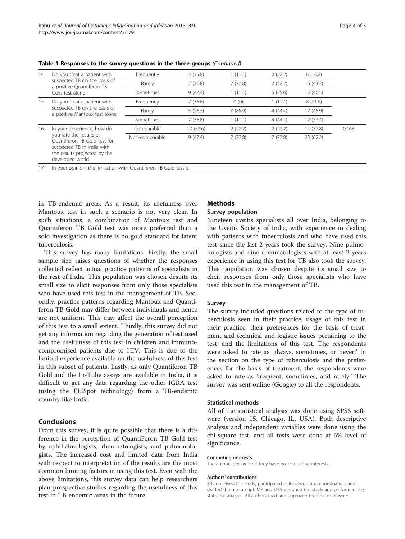| 14 | Do you treat a patient with<br>suspected TB on the basis of<br>a positive Quantiferon TB<br>Gold test alone                                                            | Frequently     | 3(15.8)  | 1(11.1) | 2(22.2) | 6(16.2)   |       |  |  |
|----|------------------------------------------------------------------------------------------------------------------------------------------------------------------------|----------------|----------|---------|---------|-----------|-------|--|--|
|    |                                                                                                                                                                        | Rarely         | 7(36.8)  | 7(77.8) | 2(22.2) | 16 (43.2) |       |  |  |
|    |                                                                                                                                                                        | Sometimes      | 9(47.4)  | 1(11.1) | 5(55.6) | 15 (40.5) |       |  |  |
| 15 | Do you treat a patient with<br>suspected TB on the basis of<br>a positive Mantoux test alone                                                                           | Frequently     | 7(36.8)  | 0(0)    | 1(11.1) | 8(21.6)   |       |  |  |
|    |                                                                                                                                                                        | Rarely         | 5(26.3)  | 8(88.9) | 4(44.4) | 17 (45.9) |       |  |  |
|    |                                                                                                                                                                        | Sometimes      | 7(36.8)  | 1(11.1) | 4(44.4) | 12 (32.4) |       |  |  |
| 16 | In your experience, how do<br>you rate the results of<br>Ouantiferon TB Gold test for<br>suspected TB in India with<br>the results projected by the<br>developed world | Comparable     | 10(52.6) | 2(22.2) | 2(22.2) | 14 (37.8) | 0.163 |  |  |
|    |                                                                                                                                                                        | Non-comparable | 9(47.4)  | 7(77.8) | 7(77.8) | 23(62.2)  |       |  |  |
|    | In your opinion, the limitation with Quantiferon TB Gold test is                                                                                                       |                |          |         |         |           |       |  |  |

Table 1 Responses to the survey questions in the three groups (Continued)

in TB-endemic areas. As a result, its usefulness over Mantoux test in such a scenario is not very clear. In such situations, a combination of Mantoux test and Quantiferon TB Gold test was more preferred than a solo investigation as there is no gold standard for latent tuberculosis.

This survey has many limitations. Firstly, the small sample size raises questions of whether the responses collected reflect actual practice patterns of specialists in the rest of India. This population was chosen despite its small size to elicit responses from only those specialists who have used this test in the management of TB. Secondly, practice patterns regarding Mantoux and Quantiferon TB Gold may differ between individuals and hence are not uniform. This may affect the overall perception of this test to a small extent. Thirdly, this survey did not get any information regarding the generation of test used and the usefulness of this test in children and immunocompromised patients due to HIV. This is due to the limited experience available on the usefulness of this test in this subset of patients. Lastly, as only Quantiferon TB Gold and the In-Tube assays are available in India, it is difficult to get any data regarding the other IGRA test (using the ELISpot technology) from a TB-endemic country like India.

#### Conclusions

From this survey, it is quite possible that there is a difference in the perception of QuantiFeron TB Gold test by ophthalmologists, rheumatologists, and pulmonologists. The increased cost and limited data from India with respect to interpretation of the results are the most common limiting factors in using this test. Even with the above limitations, this survey data can help researchers plan prospective studies regarding the usefulness of this test in TB-endemic areas in the future.

## **Methods** Survey population

Nineteen uveitis specialists all over India, belonging to the Uveitis Society of India, with experience in dealing with patients with tuberculosis and who have used this test since the last 2 years took the survey. Nine pulmonologists and nine rheumatologists with at least 2 years experience in using this test for TB also took the survey. This population was chosen despite its small size to elicit responses from only those specialists who have used this test in the management of TB.

#### Survey

The survey included questions related to the type of tuberculosis seen in their practice, usage of this test in their practice, their preferences for the basis of treatment and technical and logistic issues pertaining to the test, and the limitations of this test. The respondents were asked to rate as 'always, sometimes, or never.' In the section on the type of tuberculosis and the preferences for the basis of treatment, the respondents were asked to rate as 'frequent, sometimes, and rarely.' The survey was sent online (Google) to all the respondents.

## Statistical methods

All of the statistical analysis was done using SPSS software (version 15, Chicago, IL, USA). Both descriptive analysis and independent variables were done using the chi-square test, and all tests were done at 5% level of significance.

#### Competing interests

The authors declare that they have no competing interests.

#### Authors' contributions

KB conceived the study, participated in its design and coordination, and drafted the manuscript. MP and DKS designed the study and performed the statistical analysis. All authors read and approved the final manuscript.